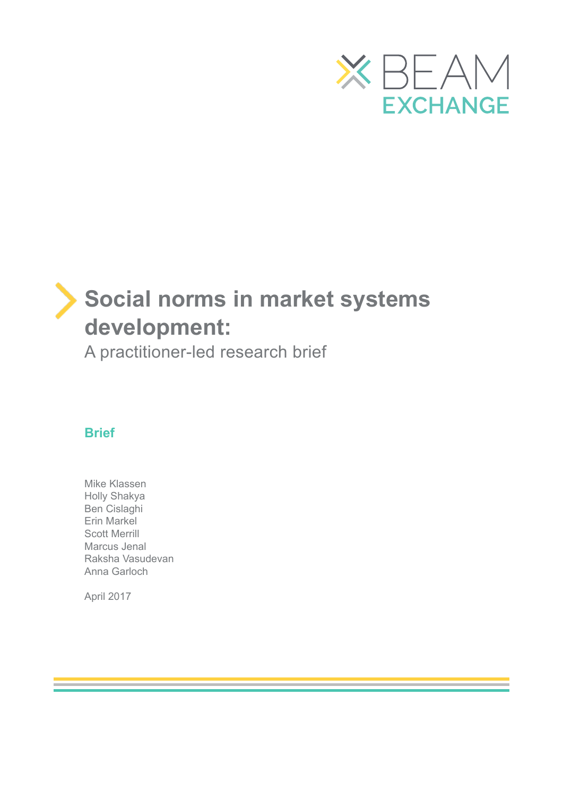

# **Social norms in market systems development:**

A practitioner-led research brief

### **Brief**

Mike Klassen Holly Shakya Ben Cislaghi Erin Markel Scott Merrill Marcus Jenal Raksha Vasudevan Anna Garloch

April 2017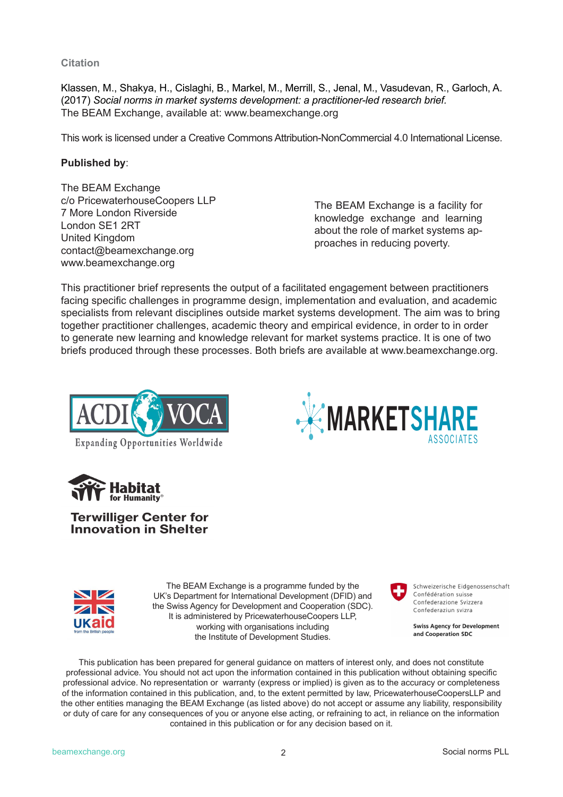**Citation**

Klassen, M., Shakya, H., Cislaghi, B., Markel, M., Merrill, S., Jenal, M., Vasudevan, R., Garloch, A. (2017) *Social norms in market systems development: a practitioner-led research brief.*  The BEAM Exchange, available at: www.beamexchange.org

This work is licensed under a Creative Commons Attribution-NonCommercial 4.0 International License.

#### **Published by**:

The BEAM Exchange c/o PricewaterhouseCoopers LLP 7 More London Riverside London SE1 2RT United Kingdom contact@beamexchange.org www.beamexchange.org

The BEAM Exchange is a facility for knowledge exchange and learning about the role of market systems approaches in reducing poverty.

**MARKETSHARE**

This practitioner brief represents the output of a facilitated engagement between practitioners facing specific challenges in programme design, implementation and evaluation, and academic specialists from relevant disciplines outside market systems development. The aim was to bring together practitioner challenges, academic theory and empirical evidence, in order to in order to generate new learning and knowledge relevant for market systems practice. It is one of two briefs produced through these processes. Both briefs are available at www.beamexchange.org.







#### **Terwilliger Center for Innovation in Shelter**



The BEAM Exchange is a programme funded by the UK's Department for International Development (DFID) and the Swiss Agency for Development and Cooperation (SDC). It is administered by PricewaterhouseCoopers LLP, working with organisations including the Institute of Development Studies.



Schweizerische Eidgenossenschaft Confédération suisse Confederazione Svizzera Confederaziun svizra

ASSOCIATES

**Swiss Agency for Development** and Cooperation SDC

This publication has been prepared for general guidance on matters of interest only, and does not constitute professional advice. You should not act upon the information contained in this publication without obtaining specific professional advice. No representation or warranty (express or implied) is given as to the accuracy or completeness of the information contained in this publication, and, to the extent permitted by law, PricewaterhouseCoopersLLP and the other entities managing the BEAM Exchange (as listed above) do not accept or assume any liability, responsibility or duty of care for any consequences of you or anyone else acting, or refraining to act, in reliance on the information contained in this publication or for any decision based on it.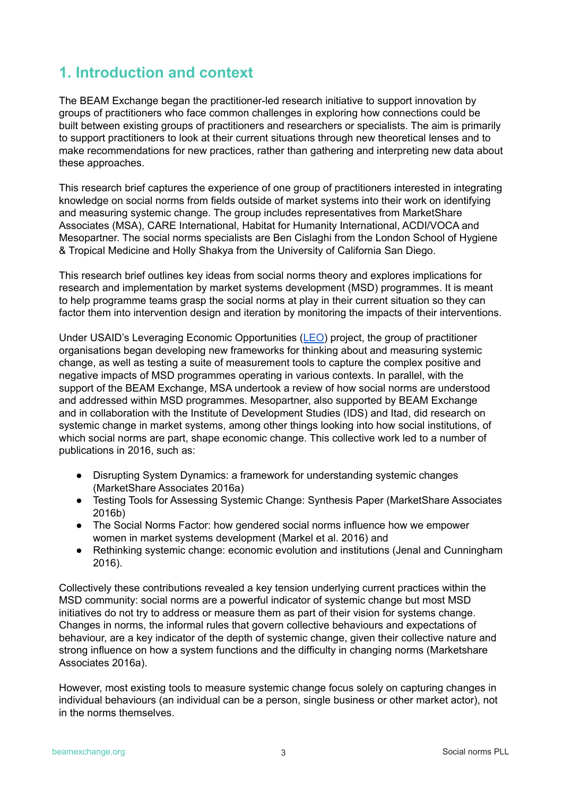## **1. Introduction and context**

The BEAM Exchange began the practitioner-led research initiative to support innovation by groups of practitioners who face common challenges in exploring how connections could be built between existing groups of practitioners and researchers or specialists. The aim is primarily to support practitioners to look at their current situations through new theoretical lenses and to make recommendations for new practices, rather than gathering and interpreting new data about these approaches.

This research brief captures the experience of one group of practitioners interested in integrating knowledge on social norms from fields outside of market systems into their work on identifying and measuring systemic change. The group includes representatives from MarketShare Associates (MSA), CARE International, Habitat for Humanity International, ACDI/VOCA and Mesopartner. The social norms specialists are Ben Cislaghi from the London School of Hygiene & Tropical Medicine and Holly Shakya from the University of California San Diego.

This research brief outlines key ideas from social norms theory and explores implications for research and implementation by market systems development (MSD) programmes. It is meant to help programme teams grasp the social norms at play in their current situation so they can factor them into intervention design and iteration by monitoring the impacts of their interventions.

Under USAID's Leveraging Economic Opportunities (LEO) project, the group of practitioner organisations began developing new frameworks for thinking about and measuring systemic change, as well as testing a suite of measurement tools to capture the complex positive and negative impacts of MSD programmes operating in various contexts. In parallel, with the support of the BEAM Exchange, MSA undertook a review of how social norms are understood and addressed within MSD programmes. Mesopartner, also supported by BEAM Exchange and in collaboration with the Institute of Development Studies (IDS) and Itad, did research on systemic change in market systems, among other things looking into how social institutions, of which social norms are part, shape economic change. This collective work led to a number of publications in 2016, such as:

- Disrupting System Dynamics: a framework for understanding systemic changes (MarketShare Associates 2016a)
- Testing Tools for Assessing Systemic Change: Synthesis Paper (MarketShare Associates 2016b)
- The Social Norms Factor: how gendered social norms influence how we empower women in market systems development (Markel et al. 2016) and
- Rethinking systemic change: economic evolution and institutions (Jenal and Cunningham 2016).

Collectively these contributions revealed a key tension underlying current practices within the MSD community: social norms are a powerful indicator of systemic change but most MSD initiatives do not try to address or measure them as part of their vision for systems change. Changes in norms, the informal rules that govern collective behaviours and expectations of behaviour, are a key indicator of the depth of systemic change, given their collective nature and strong influence on how a system functions and the difficulty in changing norms (Marketshare Associates 2016a).

However, most existing tools to measure systemic change focus solely on capturing changes in individual behaviours (an individual can be a person, single business or other market actor), not in the norms themselves.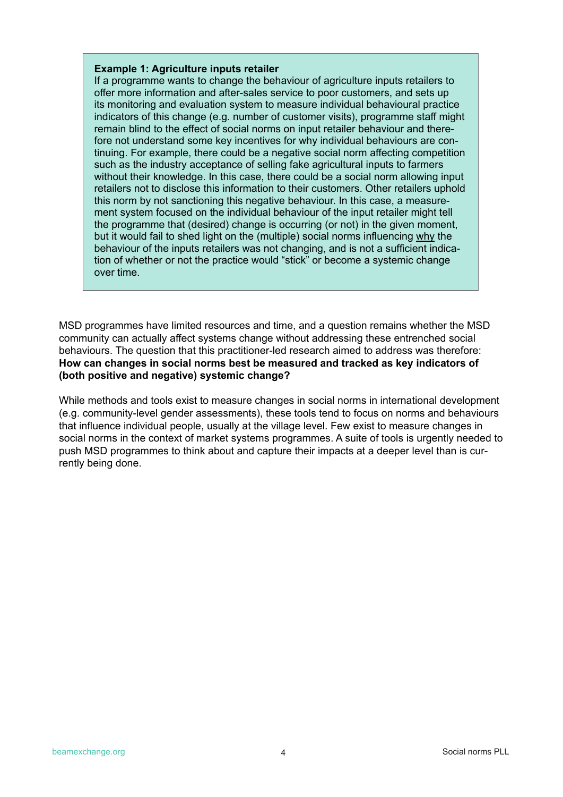#### **Example 1: Agriculture inputs retailer**

If a programme wants to change the behaviour of agriculture inputs retailers to offer more information and after-sales service to poor customers, and sets up its monitoring and evaluation system to measure individual behavioural practice indicators of this change (e.g. number of customer visits), programme staff might remain blind to the effect of social norms on input retailer behaviour and therefore not understand some key incentives for why individual behaviours are continuing. For example, there could be a negative social norm affecting competition such as the industry acceptance of selling fake agricultural inputs to farmers without their knowledge. In this case, there could be a social norm allowing input retailers not to disclose this information to their customers. Other retailers uphold this norm by not sanctioning this negative behaviour. In this case, a measurement system focused on the individual behaviour of the input retailer might tell the programme that (desired) change is occurring (or not) in the given moment, but it would fail to shed light on the (multiple) social norms influencing why the behaviour of the inputs retailers was not changing, and is not a sufficient indication of whether or not the practice would "stick" or become a systemic change over time.

MSD programmes have limited resources and time, and a question remains whether the MSD community can actually affect systems change without addressing these entrenched social behaviours. The question that this practitioner-led research aimed to address was therefore: **How can changes in social norms best be measured and tracked as key indicators of (both positive and negative) systemic change?**

While methods and tools exist to measure changes in social norms in international development (e.g. community-level gender assessments), these tools tend to focus on norms and behaviours that influence individual people, usually at the village level. Few exist to measure changes in social norms in the context of market systems programmes. A suite of tools is urgently needed to push MSD programmes to think about and capture their impacts at a deeper level than is currently being done.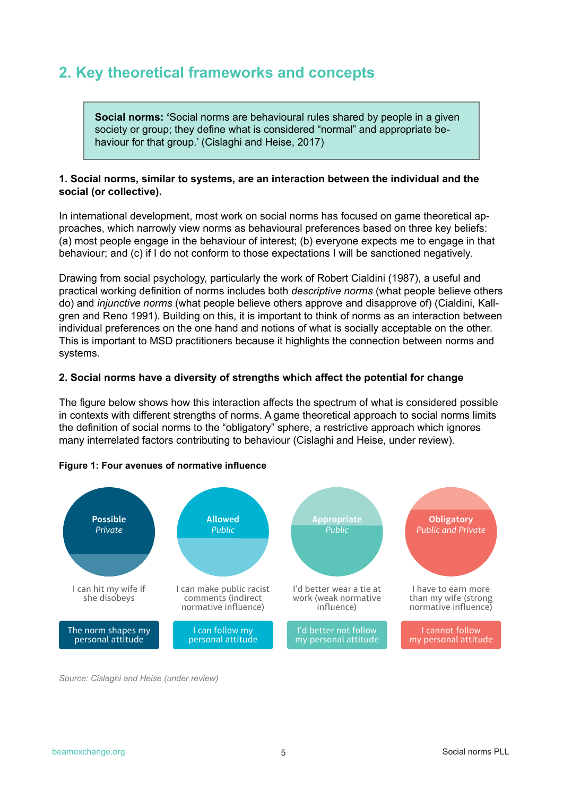### **2. Key theoretical frameworks and concepts**

**Social norms: '**Social norms are behavioural rules shared by people in a given society or group; they define what is considered "normal" and appropriate behaviour for that group.' (Cislaghi and Heise, 2017)

#### **1. Social norms, similar to systems, are an interaction between the individual and the social (or collective).**

In international development, most work on social norms has focused on game theoretical approaches, which narrowly view norms as behavioural preferences based on three key beliefs: (a) most people engage in the behaviour of interest; (b) everyone expects me to engage in that behaviour; and (c) if I do not conform to those expectations I will be sanctioned negatively.

Drawing from social psychology, particularly the work of Robert Cialdini (1987), a useful and practical working definition of norms includes both *descriptive norms* (what people believe others do) and *injunctive norms* (what people believe others approve and disapprove of) (Cialdini, Kallgren and Reno 1991). Building on this, it is important to think of norms as an interaction between individual preferences on the one hand and notions of what is socially acceptable on the other. This is important to MSD practitioners because it highlights the connection between norms and systems.

#### **2. Social norms have a diversity of strengths which affect the potential for change**

The figure below shows how this interaction affects the spectrum of what is considered possible in contexts with different strengths of norms. A game theoretical approach to social norms limits the definition of social norms to the "obligatory" sphere, a restrictive approach which ignores many interrelated factors contributing to behaviour (Cislaghi and Heise, under review).



#### **Figure 1: Four avenues of normative influence**

*Source: Cislaghi and Heise (under review)*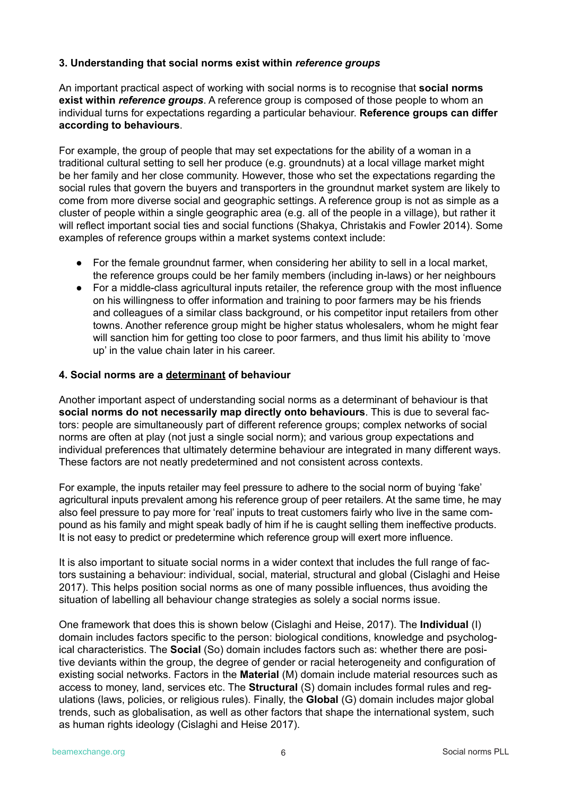#### **3. Understanding that social norms exist within** *reference groups*

An important practical aspect of working with social norms is to recognise that **social norms exist within** *reference groups*. A reference group is composed of those people to whom an individual turns for expectations regarding a particular behaviour. **Reference groups can differ according to behaviours**.

For example, the group of people that may set expectations for the ability of a woman in a traditional cultural setting to sell her produce (e.g. groundnuts) at a local village market might be her family and her close community. However, those who set the expectations regarding the social rules that govern the buyers and transporters in the groundnut market system are likely to come from more diverse social and geographic settings. A reference group is not as simple as a cluster of people within a single geographic area (e.g. all of the people in a village), but rather it will reflect important social ties and social functions (Shakya, Christakis and Fowler 2014). Some examples of reference groups within a market systems context include:

- For the female groundnut farmer, when considering her ability to sell in a local market, the reference groups could be her family members (including in-laws) or her neighbours
- For a middle-class agricultural inputs retailer, the reference group with the most influence on his willingness to offer information and training to poor farmers may be his friends and colleagues of a similar class background, or his competitor input retailers from other towns. Another reference group might be higher status wholesalers, whom he might fear will sanction him for getting too close to poor farmers, and thus limit his ability to 'move up' in the value chain later in his career.

#### **4. Social norms are a determinant of behaviour**

Another important aspect of understanding social norms as a determinant of behaviour is that **social norms do not necessarily map directly onto behaviours**. This is due to several factors: people are simultaneously part of different reference groups; complex networks of social norms are often at play (not just a single social norm); and various group expectations and individual preferences that ultimately determine behaviour are integrated in many different ways. These factors are not neatly predetermined and not consistent across contexts.

For example, the inputs retailer may feel pressure to adhere to the social norm of buying 'fake' agricultural inputs prevalent among his reference group of peer retailers. At the same time, he may also feel pressure to pay more for 'real' inputs to treat customers fairly who live in the same compound as his family and might speak badly of him if he is caught selling them ineffective products. It is not easy to predict or predetermine which reference group will exert more influence.

It is also important to situate social norms in a wider context that includes the full range of factors sustaining a behaviour: individual, social, material, structural and global (Cislaghi and Heise 2017). This helps position social norms as one of many possible influences, thus avoiding the situation of labelling all behaviour change strategies as solely a social norms issue.

One framework that does this is shown below (Cislaghi and Heise, 2017). The **Individual** (I) domain includes factors specific to the person: biological conditions, knowledge and psychological characteristics. The **Social** (So) domain includes factors such as: whether there are positive deviants within the group, the degree of gender or racial heterogeneity and configuration of existing social networks. Factors in the **Material** (M) domain include material resources such as access to money, land, services etc. The **Structural** (S) domain includes formal rules and regulations (laws, policies, or religious rules). Finally, the **Global** (G) domain includes major global trends, such as globalisation, as well as other factors that shape the international system, such as human rights ideology (Cislaghi and Heise 2017).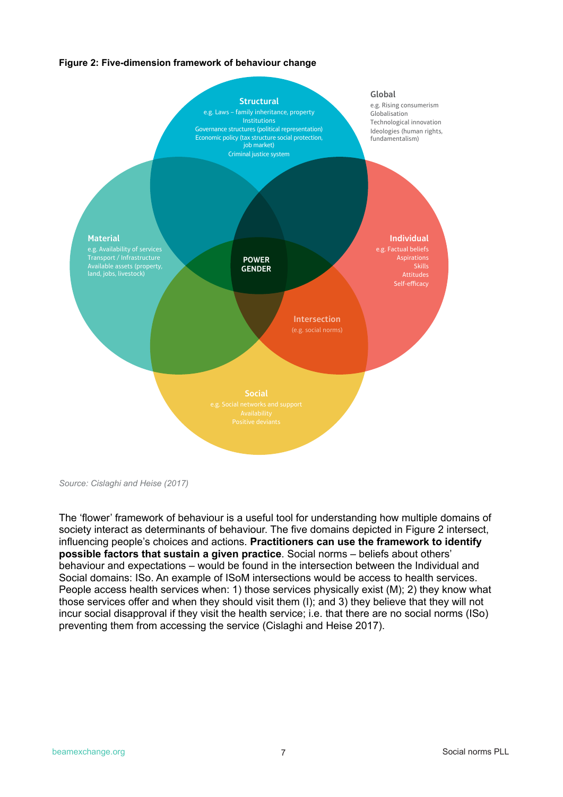#### **Figure 2: Five-dimension framework of behaviour change**



*Source: Cislaghi and Heise (2017)*

The 'flower' framework of behaviour is a useful tool for understanding how multiple domains of society interact as determinants of behaviour. The five domains depicted in Figure 2 intersect, influencing people's choices and actions. **Practitioners can use the framework to identify possible factors that sustain a given practice**. Social norms – beliefs about others' behaviour and expectations – would be found in the intersection between the Individual and Social domains: ISo. An example of ISoM intersections would be access to health services. People access health services when: 1) those services physically exist (M); 2) they know what those services offer and when they should visit them (I); and 3) they believe that they will not incur social disapproval if they visit the health service; i.e. that there are no social norms (ISo) preventing them from accessing the service (Cislaghi and Heise 2017).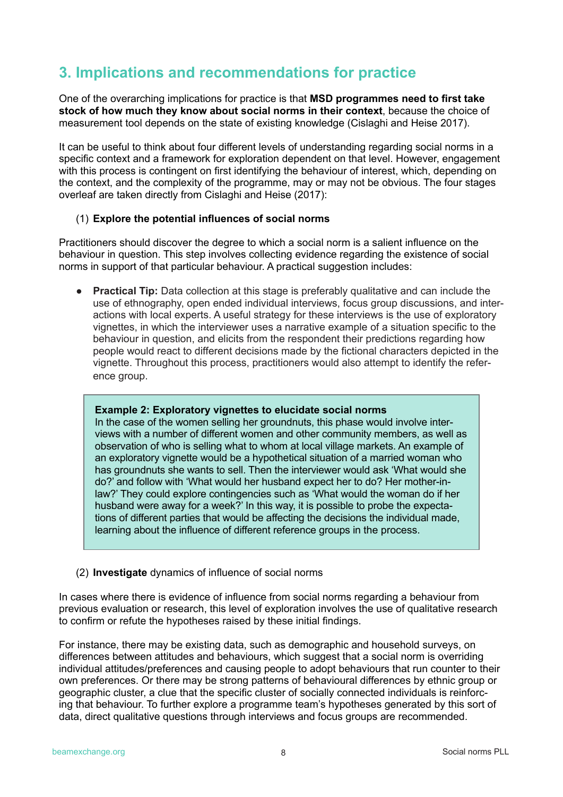### **3. Implications and recommendations for practice**

One of the overarching implications for practice is that **MSD programmes need to first take stock of how much they know about social norms in their context**, because the choice of measurement tool depends on the state of existing knowledge (Cislaghi and Heise 2017).

It can be useful to think about four different levels of understanding regarding social norms in a specific context and a framework for exploration dependent on that level. However, engagement with this process is contingent on first identifying the behaviour of interest, which, depending on the context, and the complexity of the programme, may or may not be obvious. The four stages overleaf are taken directly from Cislaghi and Heise (2017):

#### (1) **Explore the potential influences of social norms**

Practitioners should discover the degree to which a social norm is a salient influence on the behaviour in question. This step involves collecting evidence regarding the existence of social norms in support of that particular behaviour. A practical suggestion includes:

**● Practical Tip:** Data collection at this stage is preferably qualitative and can include the use of ethnography, open ended individual interviews, focus group discussions, and interactions with local experts. A useful strategy for these interviews is the use of exploratory vignettes, in which the interviewer uses a narrative example of a situation specific to the behaviour in question, and elicits from the respondent their predictions regarding how people would react to different decisions made by the fictional characters depicted in the vignette. Throughout this process, practitioners would also attempt to identify the reference group.

#### **Example 2: Exploratory vignettes to elucidate social norms**

In the case of the women selling her groundnuts, this phase would involve interviews with a number of different women and other community members, as well as observation of who is selling what to whom at local village markets. An example of an exploratory vignette would be a hypothetical situation of a married woman who has groundnuts she wants to sell. Then the interviewer would ask 'What would she do?' and follow with 'What would her husband expect her to do? Her mother-inlaw?' They could explore contingencies such as 'What would the woman do if her husband were away for a week?' In this way, it is possible to probe the expectations of different parties that would be affecting the decisions the individual made, learning about the influence of different reference groups in the process.

#### (2) **Investigate** dynamics of influence of social norms

In cases where there is evidence of influence from social norms regarding a behaviour from previous evaluation or research, this level of exploration involves the use of qualitative research to confirm or refute the hypotheses raised by these initial findings.

For instance, there may be existing data, such as demographic and household surveys, on differences between attitudes and behaviours, which suggest that a social norm is overriding individual attitudes/preferences and causing people to adopt behaviours that run counter to their own preferences. Or there may be strong patterns of behavioural differences by ethnic group or geographic cluster, a clue that the specific cluster of socially connected individuals is reinforcing that behaviour. To further explore a programme team's hypotheses generated by this sort of data, direct qualitative questions through interviews and focus groups are recommended.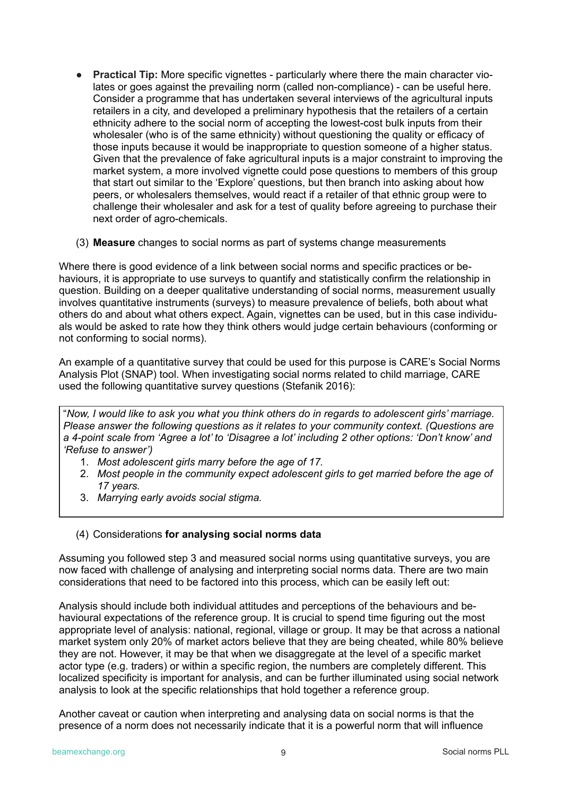- **Practical Tip:** More specific vignettes particularly where there the main character violates or goes against the prevailing norm (called non-compliance) - can be useful here. Consider a programme that has undertaken several interviews of the agricultural inputs retailers in a city, and developed a preliminary hypothesis that the retailers of a certain ethnicity adhere to the social norm of accepting the lowest-cost bulk inputs from their wholesaler (who is of the same ethnicity) without questioning the quality or efficacy of those inputs because it would be inappropriate to question someone of a higher status. Given that the prevalence of fake agricultural inputs is a major constraint to improving the market system, a more involved vignette could pose questions to members of this group that start out similar to the 'Explore' questions, but then branch into asking about how peers, or wholesalers themselves, would react if a retailer of that ethnic group were to challenge their wholesaler and ask for a test of quality before agreeing to purchase their next order of agro-chemicals.
- (3) **Measure** changes to social norms as part of systems change measurements

Where there is good evidence of a link between social norms and specific practices or behaviours, it is appropriate to use surveys to quantify and statistically confirm the relationship in question. Building on a deeper qualitative understanding of social norms, measurement usually involves quantitative instruments (surveys) to measure prevalence of beliefs, both about what others do and about what others expect. Again, vignettes can be used, but in this case individuals would be asked to rate how they think others would judge certain behaviours (conforming or not conforming to social norms).

An example of a quantitative survey that could be used for this purpose is CARE's Social Norms Analysis Plot (SNAP) tool. When investigating social norms related to child marriage, CARE used the following quantitative survey questions (Stefanik 2016):

"*Now, I would like to ask you what you think others do in regards to adolescent girls' marriage. Please answer the following questions as it relates to your community context. (Questions are a 4-point scale from 'Agree a lot' to 'Disagree a lot' including 2 other options: 'Don't know' and 'Refuse to answer')*

- 1. *Most adolescent girls marry before the age of 17.*
- 2. *Most people in the community expect adolescent girls to get married before the age of 17 years.*
- 3. *Marrying early avoids social stigma.*

#### (4) Considerations **for analysing social norms data**

Assuming you followed step 3 and measured social norms using quantitative surveys, you are now faced with challenge of analysing and interpreting social norms data. There are two main considerations that need to be factored into this process, which can be easily left out:

Analysis should include both individual attitudes and perceptions of the behaviours and behavioural expectations of the reference group. It is crucial to spend time figuring out the most appropriate level of analysis: national, regional, village or group. It may be that across a national market system only 20% of market actors believe that they are being cheated, while 80% believe they are not. However, it may be that when we disaggregate at the level of a specific market actor type (e.g. traders) or within a specific region, the numbers are completely different. This localized specificity is important for analysis, and can be further illuminated using social network analysis to look at the specific relationships that hold together a reference group.

Another caveat or caution when interpreting and analysing data on social norms is that the presence of a norm does not necessarily indicate that it is a powerful norm that will influence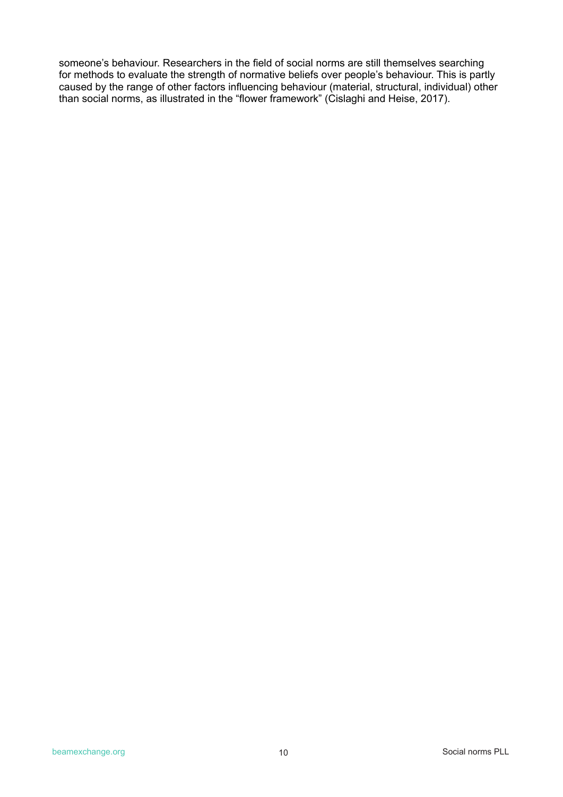someone's behaviour. Researchers in the field of social norms are still themselves searching for methods to evaluate the strength of normative beliefs over people's behaviour. This is partly caused by the range of other factors influencing behaviour (material, structural, individual) other than social norms, as illustrated in the "flower framework" (Cislaghi and Heise, 2017).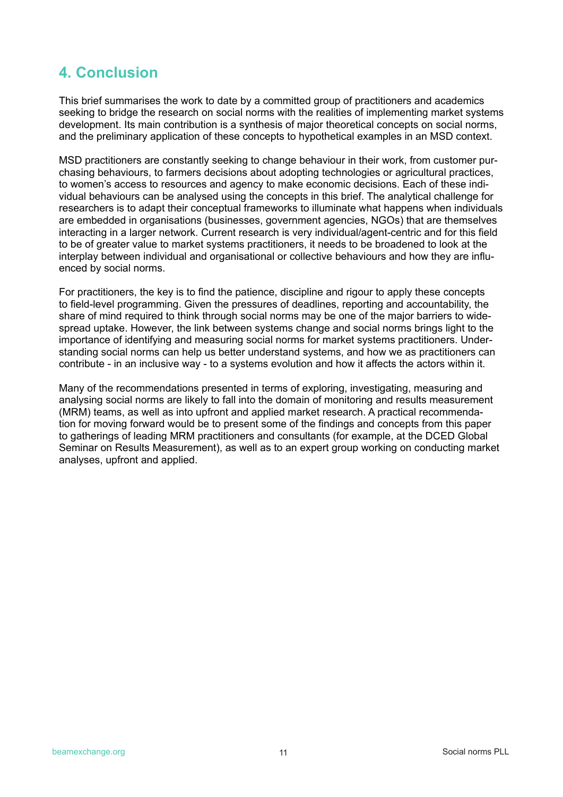## **4. Conclusion**

This brief summarises the work to date by a committed group of practitioners and academics seeking to bridge the research on social norms with the realities of implementing market systems development. Its main contribution is a synthesis of major theoretical concepts on social norms, and the preliminary application of these concepts to hypothetical examples in an MSD context.

MSD practitioners are constantly seeking to change behaviour in their work, from customer purchasing behaviours, to farmers decisions about adopting technologies or agricultural practices, to women's access to resources and agency to make economic decisions. Each of these individual behaviours can be analysed using the concepts in this brief. The analytical challenge for researchers is to adapt their conceptual frameworks to illuminate what happens when individuals are embedded in organisations (businesses, government agencies, NGOs) that are themselves interacting in a larger network. Current research is very individual/agent-centric and for this field to be of greater value to market systems practitioners, it needs to be broadened to look at the interplay between individual and organisational or collective behaviours and how they are influenced by social norms.

For practitioners, the key is to find the patience, discipline and rigour to apply these concepts to field-level programming. Given the pressures of deadlines, reporting and accountability, the share of mind required to think through social norms may be one of the major barriers to widespread uptake. However, the link between systems change and social norms brings light to the importance of identifying and measuring social norms for market systems practitioners. Understanding social norms can help us better understand systems, and how we as practitioners can contribute - in an inclusive way - to a systems evolution and how it affects the actors within it.

Many of the recommendations presented in terms of exploring, investigating, measuring and analysing social norms are likely to fall into the domain of monitoring and results measurement (MRM) teams, as well as into upfront and applied market research. A practical recommendation for moving forward would be to present some of the findings and concepts from this paper to gatherings of leading MRM practitioners and consultants (for example, at the DCED Global Seminar on Results Measurement), as well as to an expert group working on conducting market analyses, upfront and applied.